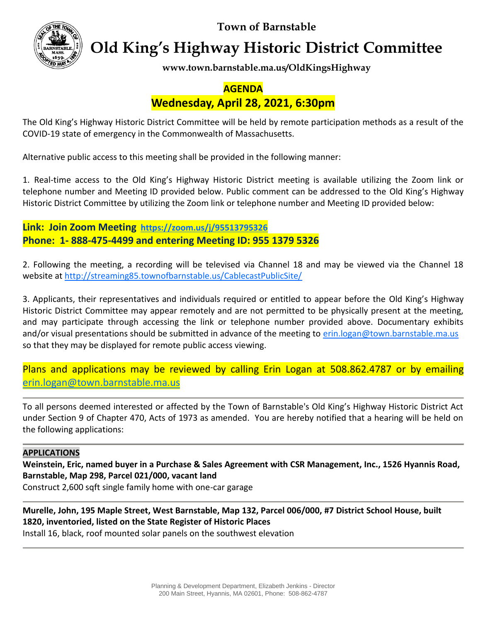**Town of Barnstable**



**Old King's Highway Historic District Committee**

**www.town.barnstable.ma.us/OldKingsHighway**

# **AGENDA**

## **Wednesday, April 28, 2021, 6:30pm**

The Old King's Highway Historic District Committee will be held by remote participation methods as a result of the COVID-19 state of emergency in the Commonwealth of Massachusetts.

Alternative public access to this meeting shall be provided in the following manner:

1. Real-time access to the Old King's Highway Historic District meeting is available utilizing the Zoom link or telephone number and Meeting ID provided below. Public comment can be addressed to the Old King's Highway Historic District Committee by utilizing the Zoom link or telephone number and Meeting ID provided below:

**Link: Join Zoom Meeting <https://zoom.us/j/95513795326> Phone: 1- 888-475-4499 and entering Meeting ID: 955 1379 5326**

2. Following the meeting, a recording will be televised via Channel 18 and may be viewed via the Channel 18 website at<http://streaming85.townofbarnstable.us/CablecastPublicSite/>

3. Applicants, their representatives and individuals required or entitled to appear before the Old King's Highway Historic District Committee may appear remotely and are not permitted to be physically present at the meeting, and may participate through accessing the link or telephone number provided above. Documentary exhibits and/or visual presentations should be submitted in advance of the meeting to [erin.logan@town.barnstable.ma.us](mailto:erin.logan@town.barnstable.ma.us) so that they may be displayed for remote public access viewing.

Plans and applications may be reviewed by calling Erin Logan at 508.862.4787 or by emailing [erin.logan@town.barnstable.ma.us](mailto:erin.logan@town.barnstable.ma.us)

To all persons deemed interested or affected by the Town of Barnstable's Old King's Highway Historic District Act under Section 9 of Chapter 470, Acts of 1973 as amended. You are hereby notified that a hearing will be held on the following applications:

#### **APPLICATIONS**

**Weinstein, Eric, named buyer in a Purchase & Sales Agreement with CSR Management, Inc., 1526 Hyannis Road, Barnstable, Map 298, Parcel 021/000, vacant land**

Construct 2,600 sqft single family home with one-car garage

**Murelle, John, 195 Maple Street, West Barnstable, Map 132, Parcel 006/000, #7 District School House, built 1820, inventoried, listed on the State Register of Historic Places**

Install 16, black, roof mounted solar panels on the southwest elevation